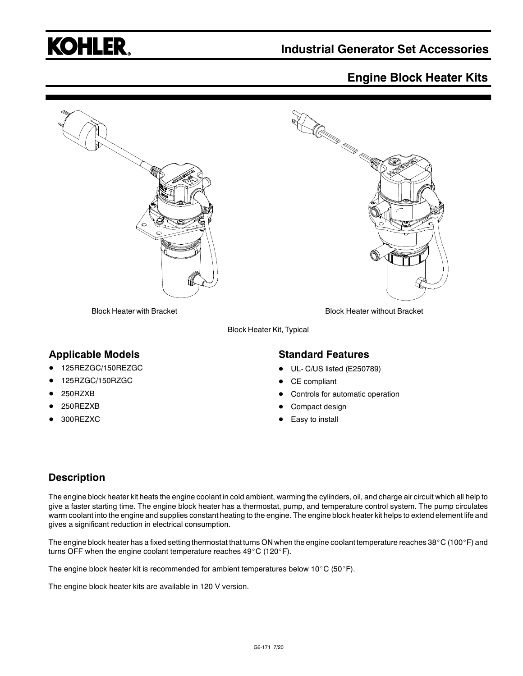

## **Industrial Generator Set Accessories**

## **Engine Block Heater Kits**



Block Heater Kit, Typical

### **Applicable Models**

- 125REZGC/150REZGC
- 125RZGC/150RZGC
- 250RZXB
- 250REZXB
- 300REZXC

#### **Standard Features**

- UL- C/US listed (E250789)
- CE compliant
- Controls for automatic operation
- Compact design
- Easy to install

### **Description**

The engine block heater kit heats the engine coolant in cold ambient, warming the cylinders, oil, and charge air circuit which all help to give a faster starting time. The engine block heater has a thermostat, pump, and temperature control system. The pump circulates warm coolant into the engine and supplies constant heating to the engine. The engine block heater kit helps to extend element life and gives a significant reduction in electrical consumption.

The engine block heater has a fixed setting thermostat that turns ON when the engine coolant temperature reaches 38°C (100°F) and turns OFF when the engine coolant temperature reaches  $49^{\circ}$ C (120 $^{\circ}$ F).

The engine block heater kit is recommended for ambient temperatures below 10°C (50°F).

The engine block heater kits are available in 120 V version.